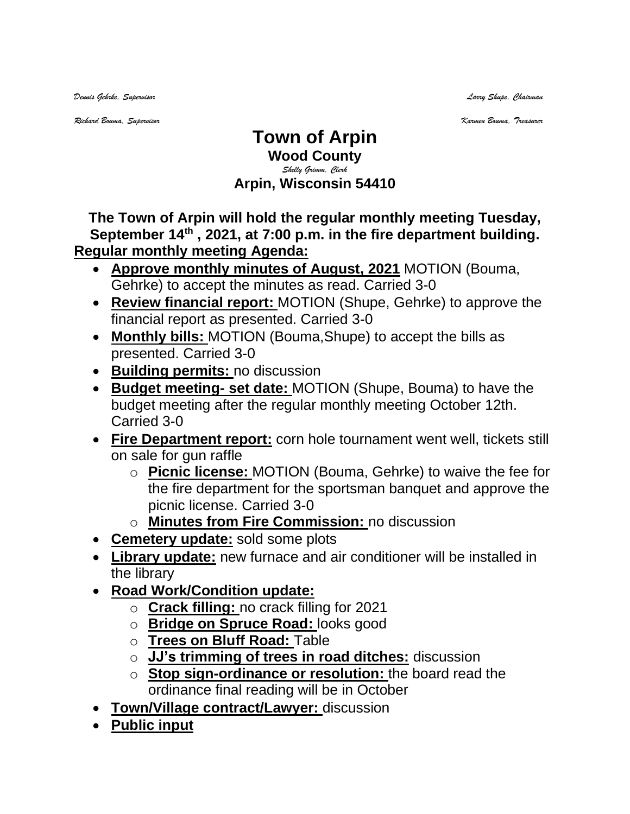*Dennis Gehrke, Supervisor Larry Shupe, Chairman* 

*Richard Bouma, Supervisor Karmen Bouma, Treasurer*

## **Town of Arpin Wood County** *Shelly Grimm, Clerk* **Arpin, Wisconsin 54410**

**The Town of Arpin will hold the regular monthly meeting Tuesday, September 14th , 2021, at 7:00 p.m. in the fire department building. Regular monthly meeting Agenda:** 

- **Approve monthly minutes of August, 2021** MOTION (Bouma, Gehrke) to accept the minutes as read. Carried 3-0
- **Review financial report:** MOTION (Shupe, Gehrke) to approve the financial report as presented. Carried 3-0
- **Monthly bills:** MOTION (Bouma,Shupe) to accept the bills as presented. Carried 3-0
- **Building permits:** no discussion
- **Budget meeting- set date:** MOTION (Shupe, Bouma) to have the budget meeting after the regular monthly meeting October 12th. Carried 3-0
- **Fire Department report:** corn hole tournament went well, tickets still on sale for gun raffle
	- o **Picnic license:** MOTION (Bouma, Gehrke) to waive the fee for the fire department for the sportsman banquet and approve the picnic license. Carried 3-0
	- o **Minutes from Fire Commission:** no discussion
- **Cemetery update:** sold some plots
- **Library update:** new furnace and air conditioner will be installed in the library
- **Road Work/Condition update:** 
	- o **Crack filling:** no crack filling for 2021
	- o **Bridge on Spruce Road:** looks good
	- o **Trees on Bluff Road:** Table
	- o **JJ's trimming of trees in road ditches:** discussion
	- o **Stop sign-ordinance or resolution:** the board read the ordinance final reading will be in October
- **Town/Village contract/Lawyer:** discussion
- **Public input**